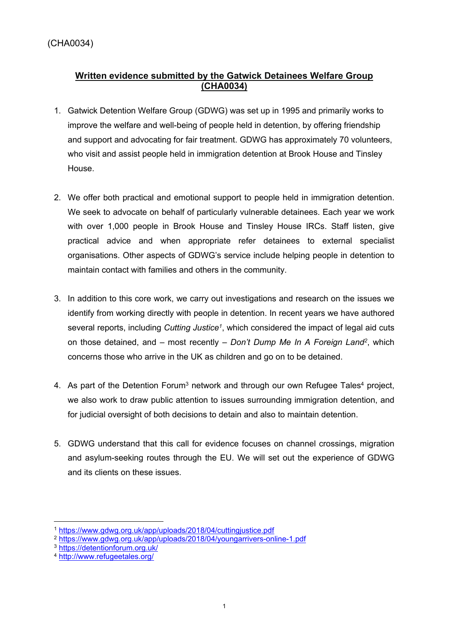# **Written evidence submitted by the Gatwick Detainees Welfare Group (CHA0034)**

- 1. Gatwick Detention Welfare Group (GDWG) was set up in 1995 and primarily works to improve the welfare and well-being of people held in detention, by offering friendship and support and advocating for fair treatment. GDWG has approximately 70 volunteers, who visit and assist people held in immigration detention at Brook House and Tinsley House.
- 2. We offer both practical and emotional support to people held in immigration detention. We seek to advocate on behalf of particularly vulnerable detainees. Each year we work with over 1,000 people in Brook House and Tinsley House IRCs. Staff listen, give practical advice and when appropriate refer detainees to external specialist organisations. Other aspects of GDWG's service include helping people in detention to maintain contact with families and others in the community.
- 3. In addition to this core work, we carry out investigations and research on the issues we identify from working directly with people in detention. In recent years we have authored several reports, including *Cutting Justice<sup>1</sup>* , which considered the impact of legal aid cuts on those detained, and – most recently – *Don't Dump Me In A Foreign Land<sup>2</sup>* , which concerns those who arrive in the UK as children and go on to be detained.
- 4. As part of the Detention Forum<sup>3</sup> network and through our own Refugee Tales<sup>4</sup> project, we also work to draw public attention to issues surrounding immigration detention, and for judicial oversight of both decisions to detain and also to maintain detention.
- 5. GDWG understand that this call for evidence focuses on channel crossings, migration and asylum-seeking routes through the EU. We will set out the experience of GDWG and its clients on these issues.

<sup>1</sup> <https://www.gdwg.org.uk/app/uploads/2018/04/cuttingjustice.pdf>

<sup>2</sup> <https://www.gdwg.org.uk/app/uploads/2018/04/youngarrivers-online-1.pdf>

<sup>3</sup> <https://detentionforum.org.uk/>

<sup>4</sup> <http://www.refugeetales.org/>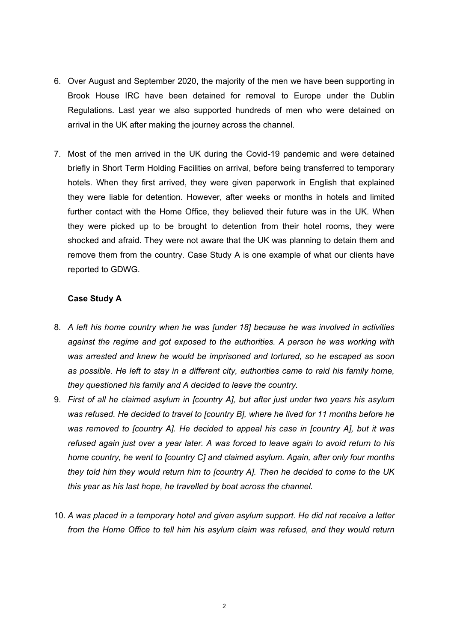- 6. Over August and September 2020, the majority of the men we have been supporting in Brook House IRC have been detained for removal to Europe under the Dublin Regulations. Last year we also supported hundreds of men who were detained on arrival in the UK after making the journey across the channel.
- 7. Most of the men arrived in the UK during the Covid-19 pandemic and were detained briefly in Short Term Holding Facilities on arrival, before being transferred to temporary hotels. When they first arrived, they were given paperwork in English that explained they were liable for detention. However, after weeks or months in hotels and limited further contact with the Home Office, they believed their future was in the UK. When they were picked up to be brought to detention from their hotel rooms, they were shocked and afraid. They were not aware that the UK was planning to detain them and remove them from the country. Case Study A is one example of what our clients have reported to GDWG.

#### **Case Study A**

- 8. *A left his home country when he was [under 18] because he was involved in activities against the regime and got exposed to the authorities. A person he was working with was arrested and knew he would be imprisoned and tortured, so he escaped as soon as possible. He left to stay in a different city, authorities came to raid his family home, they questioned his family and A decided to leave the country.*
- 9. *First of all he claimed asylum in [country A], but after just under two years his asylum was refused. He decided to travel to [country B], where he lived for 11 months before he was removed to [country A]. He decided to appeal his case in [country A], but it was refused again just over a year later. A was forced to leave again to avoid return to his home country, he went to [country C] and claimed asylum. Again, after only four months they told him they would return him to [country A]. Then he decided to come to the UK this year as his last hope, he travelled by boat across the channel.*
- 10. *A was placed in a temporary hotel and given asylum support. He did not receive a letter from the Home Office to tell him his asylum claim was refused, and they would return*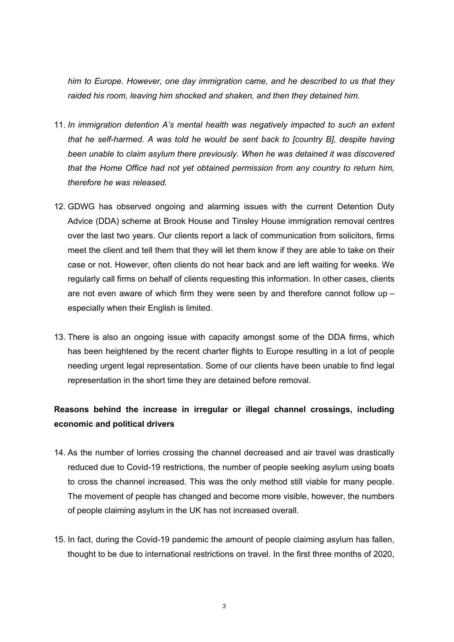*him to Europe. However, one day immigration came, and he described to us that they raided his room, leaving him shocked and shaken, and then they detained him.*

- 11. *In immigration detention A's mental health was negatively impacted to such an extent that he self-harmed. A was told he would be sent back to [country B], despite having been unable to claim asylum there previously. When he was detained it was discovered that the Home Office had not yet obtained permission from any country to return him, therefore he was released.*
- 12. GDWG has observed ongoing and alarming issues with the current Detention Duty Advice (DDA) scheme at Brook House and Tinsley House immigration removal centres over the last two years. Our clients report a lack of communication from solicitors, firms meet the client and tell them that they will let them know if they are able to take on their case or not. However, often clients do not hear back and are left waiting for weeks. We regularly call firms on behalf of clients requesting this information. In other cases, clients are not even aware of which firm they were seen by and therefore cannot follow up – especially when their English is limited.
- 13. There is also an ongoing issue with capacity amongst some of the DDA firms, which has been heightened by the recent charter flights to Europe resulting in a lot of people needing urgent legal representation. Some of our clients have been unable to find legal representation in the short time they are detained before removal.

# **Reasons behind the increase in irregular or illegal channel crossings, including economic and political drivers**

- 14. As the number of lorries crossing the channel decreased and air travel was drastically reduced due to Covid-19 restrictions, the number of people seeking asylum using boats to cross the channel increased. This was the only method still viable for many people. The movement of people has changed and become more visible, however, the numbers of people claiming asylum in the UK has not increased overall.
- 15. In fact, during the Covid-19 pandemic the amount of people claiming asylum has fallen, thought to be due to international restrictions on travel. In the first three months of 2020,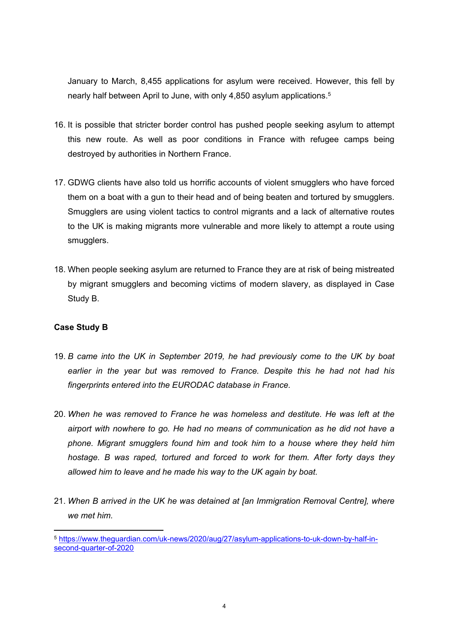January to March, 8,455 applications for asylum were received. However, this fell by nearly half between April to June, with only 4,850 asylum applications.<sup>5</sup>

- 16. It is possible that stricter border control has pushed people seeking asylum to attempt this new route. As well as poor conditions in France with refugee camps being destroyed by authorities in Northern France.
- 17. GDWG clients have also told us horrific accounts of violent smugglers who have forced them on a boat with a gun to their head and of being beaten and tortured by smugglers. Smugglers are using violent tactics to control migrants and a lack of alternative routes to the UK is making migrants more vulnerable and more likely to attempt a route using smugglers.
- 18. When people seeking asylum are returned to France they are at risk of being mistreated by migrant smugglers and becoming victims of modern slavery, as displayed in Case Study B.

## **Case Study B**

- 19. *B came into the UK in September 2019, he had previously come to the UK by boat earlier in the year but was removed to France. Despite this he had not had his fingerprints entered into the EURODAC database in France.*
- 20. *When he was removed to France he was homeless and destitute. He was left at the airport with nowhere to go. He had no means of communication as he did not have a phone. Migrant smugglers found him and took him to a house where they held him hostage. B was raped, tortured and forced to work for them. After forty days they allowed him to leave and he made his way to the UK again by boat.*
- 21. *When B arrived in the UK he was detained at [an Immigration Removal Centre], where we met him.*

<sup>5</sup> [https://www.theguardian.com/uk-news/2020/aug/27/asylum-applications-to-uk-down-by-half-in](https://www.theguardian.com/uk-news/2020/aug/27/asylum-applications-to-uk-down-by-half-in-second-quarter-of-2020)[second-quarter-of-2020](https://www.theguardian.com/uk-news/2020/aug/27/asylum-applications-to-uk-down-by-half-in-second-quarter-of-2020)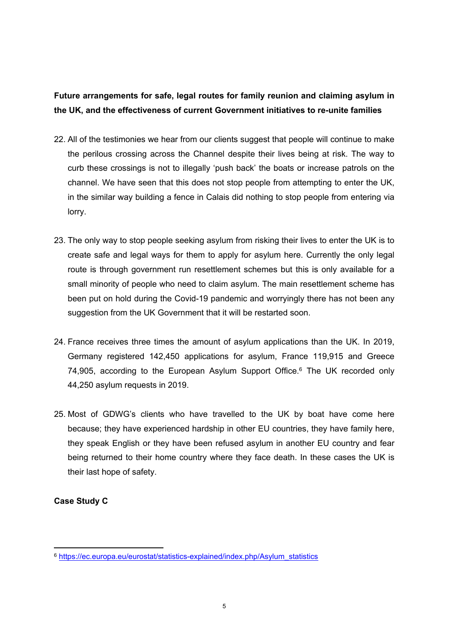# **Future arrangements for safe, legal routes for family reunion and claiming asylum in the UK, and the effectiveness of current Government initiatives to re-unite families**

- 22. All of the testimonies we hear from our clients suggest that people will continue to make the perilous crossing across the Channel despite their lives being at risk. The way to curb these crossings is not to illegally 'push back' the boats or increase patrols on the channel. We have seen that this does not stop people from attempting to enter the UK, in the similar way building a fence in Calais did nothing to stop people from entering via lorry.
- 23. The only way to stop people seeking asylum from risking their lives to enter the UK is to create safe and legal ways for them to apply for asylum here. Currently the only legal route is through government run resettlement schemes but this is only available for a small minority of people who need to claim asylum. The main resettlement scheme has been put on hold during the Covid-19 pandemic and worryingly there has not been any suggestion from the UK Government that it will be restarted soon.
- 24. France receives three times the amount of asylum applications than the UK. In 2019, Germany registered 142,450 applications for asylum, France 119,915 and Greece 74,905, according to the European Asylum Support Office.<sup>6</sup> The UK recorded only 44,250 asylum requests in 2019.
- 25. Most of GDWG's clients who have travelled to the UK by boat have come here because; they have experienced hardship in other EU countries, they have family here, they speak English or they have been refused asylum in another EU country and fear being returned to their home country where they face death. In these cases the UK is their last hope of safety.

# **Case Study C**

<sup>6</sup> [https://ec.europa.eu/eurostat/statistics-explained/index.php/Asylum\\_statistics](https://ec.europa.eu/eurostat/statistics-explained/index.php/Asylum_statistics)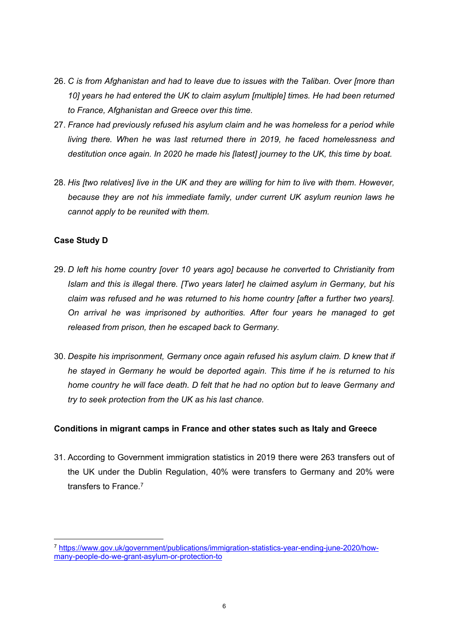- 26. *C is from Afghanistan and had to leave due to issues with the Taliban. Over [more than 10] years he had entered the UK to claim asylum [multiple] times. He had been returned to France, Afghanistan and Greece over this time.*
- 27. *France had previously refused his asylum claim and he was homeless for a period while living there. When he was last returned there in 2019, he faced homelessness and destitution once again. In 2020 he made his [latest] journey to the UK, this time by boat.*
- 28. *His [two relatives] live in the UK and they are willing for him to live with them. However, because they are not his immediate family, under current UK asylum reunion laws he cannot apply to be reunited with them.*

# **Case Study D**

- 29. *D left his home country [over 10 years ago] because he converted to Christianity from Islam and this is illegal there. [Two years later] he claimed asylum in Germany, but his claim was refused and he was returned to his home country [after a further two years]. On arrival he was imprisoned by authorities. After four years he managed to get released from prison, then he escaped back to Germany.*
- 30. *Despite his imprisonment, Germany once again refused his asylum claim. D knew that if he stayed in Germany he would be deported again. This time if he is returned to his home country he will face death. D felt that he had no option but to leave Germany and try to seek protection from the UK as his last chance.*

## **Conditions in migrant camps in France and other states such as Italy and Greece**

31. According to Government immigration statistics in 2019 there were 263 transfers out of the UK under the Dublin Regulation, 40% were transfers to Germany and 20% were transfers to France.<sup>7</sup>

<sup>7</sup> [https://www.gov.uk/government/publications/immigration-statistics-year-ending-june-2020/how](https://www.gov.uk/government/publications/immigration-statistics-year-ending-june-2020/how-many-people-do-we-grant-asylum-or-protection-to)[many-people-do-we-grant-asylum-or-protection-to](https://www.gov.uk/government/publications/immigration-statistics-year-ending-june-2020/how-many-people-do-we-grant-asylum-or-protection-to)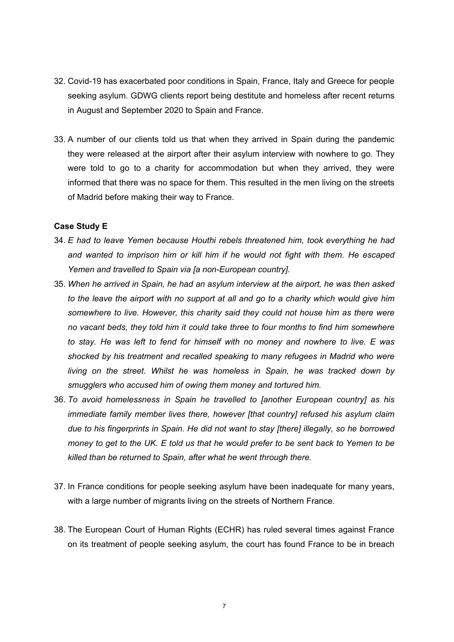- 32. Covid-19 has exacerbated poor conditions in Spain, France, Italy and Greece for people seeking asylum. GDWG clients report being destitute and homeless after recent returns in August and September 2020 to Spain and France.
- 33. A number of our clients told us that when they arrived in Spain during the pandemic they were released at the airport after their asylum interview with nowhere to go. They were told to go to a charity for accommodation but when they arrived, they were informed that there was no space for them. This resulted in the men living on the streets of Madrid before making their way to France.

#### **Case Study E**

- 34. *E had to leave Yemen because Houthi rebels threatened him, took everything he had and wanted to imprison him or kill him if he would not fight with them. He escaped Yemen and travelled to Spain via [a non-European country].*
- 35. *When he arrived in Spain, he had an asylum interview at the airport, he was then asked to the leave the airport with no support at all and go to a charity which would give him somewhere to live. However, this charity said they could not house him as there were no vacant beds, they told him it could take three to four months to find him somewhere to stay. He was left to fend for himself with no money and nowhere to live. E was shocked by his treatment and recalled speaking to many refugees in Madrid who were living on the street. Whilst he was homeless in Spain, he was tracked down by smugglers who accused him of owing them money and tortured him.*
- 36. *To avoid homelessness in Spain he travelled to [another European country] as his immediate family member lives there, however [that country] refused his asylum claim due to his fingerprints in Spain. He did not want to stay [there] illegally, so he borrowed* money to get to the UK. E told us that he would prefer to be sent back to Yemen to be *killed than be returned to Spain, after what he went through there.*
- 37. In France conditions for people seeking asylum have been inadequate for many years, with a large number of migrants living on the streets of Northern France.
- 38. The European Court of Human Rights (ECHR) has ruled several times against France on its treatment of people seeking asylum, the court has found France to be in breach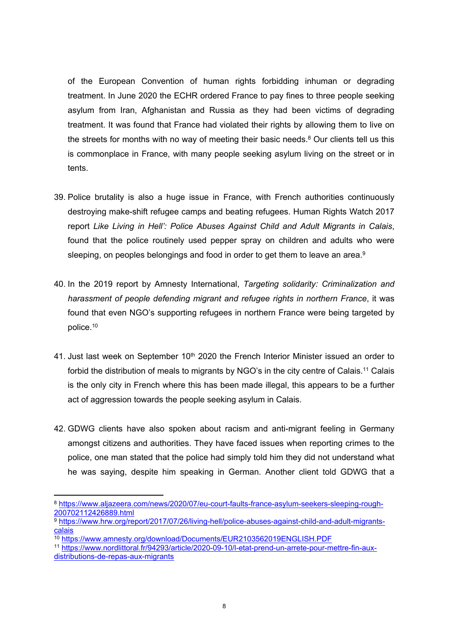of the European Convention of human rights forbidding inhuman or degrading treatment. In June 2020 the ECHR ordered France to pay fines to three people seeking asylum from Iran, Afghanistan and Russia as they had been victims of degrading treatment. It was found that France had violated their rights by allowing them to live on the streets for months with no way of meeting their basic needs.<sup>8</sup> Our clients tell us this is commonplace in France, with many people seeking asylum living on the street or in tents.

- 39. Police brutality is also a huge issue in France, with French authorities continuously destroying make-shift refugee camps and beating refugees. Human Rights Watch 2017 report *Like Living in Hell': Police Abuses Against Child and Adult Migrants in Calais*, found that the police routinely used pepper spray on children and adults who were sleeping, on peoples belongings and food in order to get them to leave an area.<sup>9</sup>
- 40. In the 2019 report by Amnesty International, *Targeting solidarity: Criminalization and harassment of people defending migrant and refugee rights in northern France*, it was found that even NGO's supporting refugees in northern France were being targeted by police.<sup>10</sup>
- 41. Just last week on September 10<sup>th</sup> 2020 the French Interior Minister issued an order to forbid the distribution of meals to migrants by NGO's in the city centre of Calais.<sup>11</sup> Calais is the only city in French where this has been made illegal, this appears to be a further act of aggression towards the people seeking asylum in Calais.
- 42. GDWG clients have also spoken about racism and anti-migrant feeling in Germany amongst citizens and authorities. They have faced issues when reporting crimes to the police, one man stated that the police had simply told him they did not understand what he was saying, despite him speaking in German. Another client told GDWG that a

<sup>8</sup> [https://www.aljazeera.com/news/2020/07/eu-court-faults-france-asylum-seekers-sleeping-rough-](https://www.aljazeera.com/news/2020/07/eu-court-faults-france-asylum-seekers-sleeping-rough-200702112426889.html)[200702112426889.html](https://www.aljazeera.com/news/2020/07/eu-court-faults-france-asylum-seekers-sleeping-rough-200702112426889.html)

<sup>9</sup> [https://www.hrw.org/report/2017/07/26/living-hell/police-abuses-against-child-and-adult-migrants](https://www.hrw.org/report/2017/07/26/living-hell/police-abuses-against-child-and-adult-migrants-calais)[calais](https://www.hrw.org/report/2017/07/26/living-hell/police-abuses-against-child-and-adult-migrants-calais)

<sup>10</sup> <https://www.amnesty.org/download/Documents/EUR2103562019ENGLISH.PDF>

<sup>11</sup> [https://www.nordlittoral.fr/94293/article/2020-09-10/l-etat-prend-un-arrete-pour-mettre-fin-aux](https://www.nordlittoral.fr/94293/article/2020-09-10/l-etat-prend-un-arrete-pour-mettre-fin-aux-distributions-de-repas-aux-migrants)[distributions-de-repas-aux-migrants](https://www.nordlittoral.fr/94293/article/2020-09-10/l-etat-prend-un-arrete-pour-mettre-fin-aux-distributions-de-repas-aux-migrants)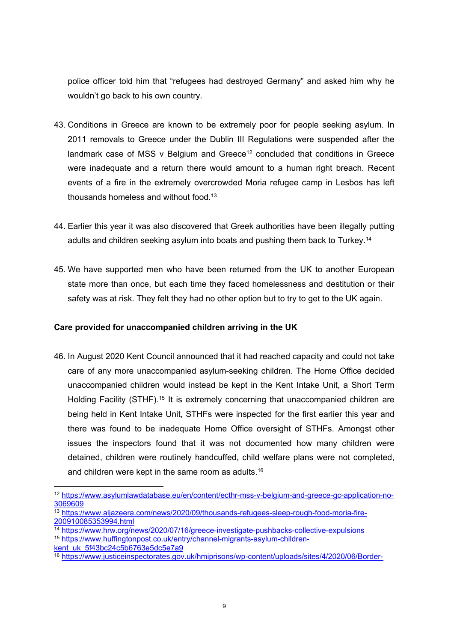police officer told him that "refugees had destroyed Germany" and asked him why he wouldn't go back to his own country.

- 43. Conditions in Greece are known to be extremely poor for people seeking asylum. In 2011 removals to Greece under the Dublin III Regulations were suspended after the landmark case of MSS v Belgium and Greece<sup>12</sup> concluded that conditions in Greece were inadequate and a return there would amount to a human right breach. Recent events of a fire in the extremely overcrowded Moria refugee camp in Lesbos has left thousands homeless and without food.<sup>13</sup>
- 44. Earlier this year it was also discovered that Greek authorities have been illegally putting adults and children seeking asylum into boats and pushing them back to Turkey.<sup>14</sup>
- 45. We have supported men who have been returned from the UK to another European state more than once, but each time they faced homelessness and destitution or their safety was at risk. They felt they had no other option but to try to get to the UK again.

## **Care provided for unaccompanied children arriving in the UK**

46. In August 2020 Kent Council announced that it had reached capacity and could not take care of any more unaccompanied asylum-seeking children. The Home Office decided unaccompanied children would instead be kept in the Kent Intake Unit, a Short Term Holding Facility (STHF).<sup>15</sup> It is extremely concerning that unaccompanied children are being held in Kent Intake Unit, STHFs were inspected for the first earlier this year and there was found to be inadequate Home Office oversight of STHFs. Amongst other issues the inspectors found that it was not documented how many children were detained, children were routinely handcuffed, child welfare plans were not completed, and children were kept in the same room as adults.<sup>16</sup>

<sup>12</sup> [https://www.asylumlawdatabase.eu/en/content/ecthr-mss-v-belgium-and-greece-gc-application-no-](https://www.asylumlawdatabase.eu/en/content/ecthr-mss-v-belgium-and-greece-gc-application-no-3069609)[3069609](https://www.asylumlawdatabase.eu/en/content/ecthr-mss-v-belgium-and-greece-gc-application-no-3069609)

<sup>13</sup> [https://www.aljazeera.com/news/2020/09/thousands-refugees-sleep-rough-food-moria-fire-](https://www.aljazeera.com/news/2020/09/thousands-refugees-sleep-rough-food-moria-fire-200910085353994.html)[200910085353994.html](https://www.aljazeera.com/news/2020/09/thousands-refugees-sleep-rough-food-moria-fire-200910085353994.html)

<sup>&</sup>lt;sup>14</sup> <https://www.hrw.org/news/2020/07/16/greece-investigate-pushbacks-collective-expulsions>

<sup>15</sup> [https://www.huffingtonpost.co.uk/entry/channel-migrants-asylum-children-](https://www.huffingtonpost.co.uk/entry/channel-migrants-asylum-children-kent_uk_5f43bc24c5b6763e5dc5e7a9)

[kent\\_uk\\_5f43bc24c5b6763e5dc5e7a9](https://www.huffingtonpost.co.uk/entry/channel-migrants-asylum-children-kent_uk_5f43bc24c5b6763e5dc5e7a9)

<sup>16</sup> [https://www.justiceinspectorates.gov.uk/hmiprisons/wp-content/uploads/sites/4/2020/06/Border-](https://www.justiceinspectorates.gov.uk/hmiprisons/wp-content/uploads/sites/4/2020/06/Border-Force-STHF-web-2020-1.pdf)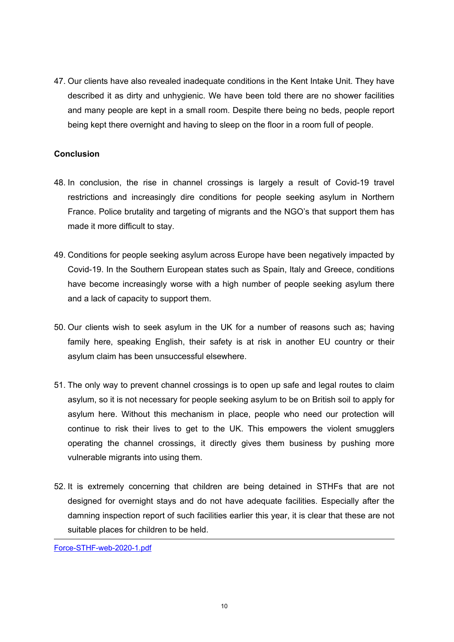47. Our clients have also revealed inadequate conditions in the Kent Intake Unit. They have described it as dirty and unhygienic. We have been told there are no shower facilities and many people are kept in a small room. Despite there being no beds, people report being kept there overnight and having to sleep on the floor in a room full of people.

## **Conclusion**

- 48. In conclusion, the rise in channel crossings is largely a result of Covid-19 travel restrictions and increasingly dire conditions for people seeking asylum in Northern France. Police brutality and targeting of migrants and the NGO's that support them has made it more difficult to stay.
- 49. Conditions for people seeking asylum across Europe have been negatively impacted by Covid-19. In the Southern European states such as Spain, Italy and Greece, conditions have become increasingly worse with a high number of people seeking asylum there and a lack of capacity to support them.
- 50. Our clients wish to seek asylum in the UK for a number of reasons such as; having family here, speaking English, their safety is at risk in another EU country or their asylum claim has been unsuccessful elsewhere.
- 51. The only way to prevent channel crossings is to open up safe and legal routes to claim asylum, so it is not necessary for people seeking asylum to be on British soil to apply for asylum here. Without this mechanism in place, people who need our protection will continue to risk their lives to get to the UK. This empowers the violent smugglers operating the channel crossings, it directly gives them business by pushing more vulnerable migrants into using them.
- 52. It is extremely concerning that children are being detained in STHFs that are not designed for overnight stays and do not have adequate facilities. Especially after the damning inspection report of such facilities earlier this year, it is clear that these are not suitable places for children to be held.

[Force-STHF-web-2020-1.pdf](https://www.justiceinspectorates.gov.uk/hmiprisons/wp-content/uploads/sites/4/2020/06/Border-Force-STHF-web-2020-1.pdf)